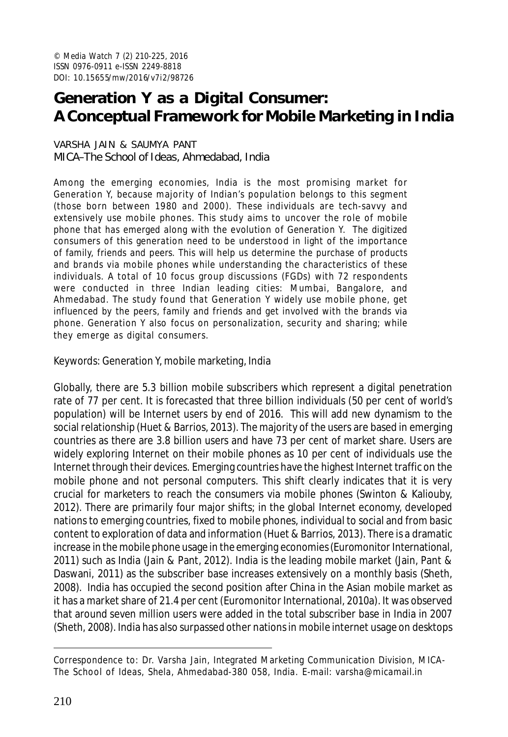# **Generation Y as a Digital Consumer: A Conceptual Framework for Mobile Marketing in India**

#### VARSHA JAIN & SAUMYA PANT MICA–The School of Ideas, Ahmedabad, India

Among the emerging economies, India is the most promising market for Generation Y, because majority of Indian's population belongs to this segment (those born between 1980 and 2000). These individuals are tech-savvy and extensively use mobile phones. This study aims to uncover the role of mobile phone that has emerged along with the evolution of Generation Y. The digitized consumers of this generation need to be understood in light of the importance of family, friends and peers. This will help us determine the purchase of products and brands via mobile phones while understanding the characteristics of these individuals. A total of 10 focus group discussions (FGDs) with 72 respondents were conducted in three Indian leading cities: Mumbai, Bangalore, and Ahmedabad. The study found that Generation Y widely use mobile phone, get influenced by the peers, family and friends and get involved with the brands via phone. Generation Y also focus on personalization, security and sharing; while they emerge as digital consumers.

Keywords: Generation Y, mobile marketing, India

Globally, there are 5.3 billion mobile subscribers which represent a digital penetration rate of 77 per cent. It is forecasted that three billion individuals (50 per cent of world's population) will be Internet users by end of 2016. This will add new dynamism to the social relationship (Huet & Barrios, 2013). The majority of the users are based in emerging countries as there are 3.8 billion users and have 73 per cent of market share. Users are widely exploring Internet on their mobile phones as 10 per cent of individuals use the Internet through their devices. Emerging countries have the highest Internet traffic on the mobile phone and not personal computers. This shift clearly indicates that it is very crucial for marketers to reach the consumers via mobile phones (Swinton & Kaliouby, 2012). There are primarily four major shifts; in the global Internet economy, developed nations to emerging countries, fixed to mobile phones, individual to social and from basic content to exploration of data and information (Huet & Barrios, 2013). There is a dramatic increase in the mobile phone usage in the emerging economies (Euromonitor International, 2011) such as India (Jain & Pant, 2012). India is the leading mobile market (Jain, Pant & Daswani, 2011) as the subscriber base increases extensively on a monthly basis (Sheth, 2008). India has occupied the second position after China in the Asian mobile market as it has a market share of 21.4 per cent (Euromonitor International, 2010a). It was observed that around seven million users were added in the total subscriber base in India in 2007 (Sheth, 2008). India has also surpassed other nations in mobile internet usage on desktops

Correspondence to: Dr. Varsha Jain, Integrated Marketing Communication Division, MICA-The School of Ideas, Shela, Ahmedabad-380 058, India. E-mail: varsha@micamail.in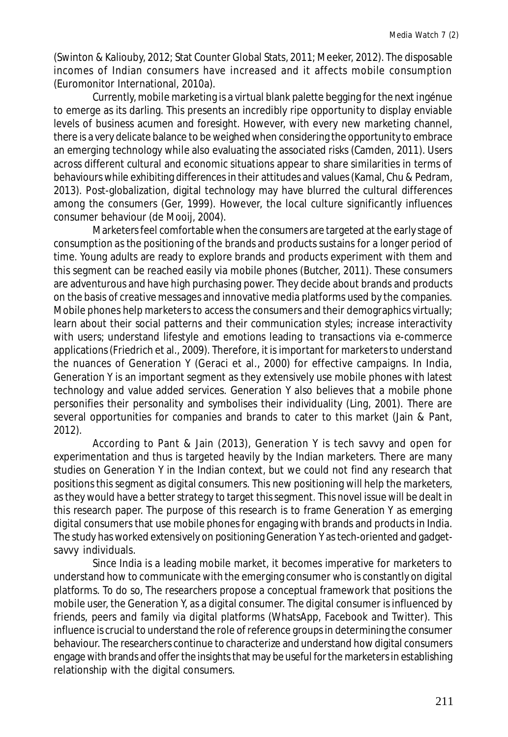(Swinton & Kaliouby, 2012; Stat Counter Global Stats, 2011; Meeker, 2012). The disposable incomes of Indian consumers have increased and it affects mobile consumption (Euromonitor International, 2010a).

Currently, mobile marketing is a virtual blank palette begging for the next ingénue to emerge as its darling. This presents an incredibly ripe opportunity to display enviable levels of business acumen and foresight. However, with every new marketing channel, there is a very delicate balance to be weighed when considering the opportunity to embrace an emerging technology while also evaluating the associated risks (Camden, 2011). Users across different cultural and economic situations appear to share similarities in terms of behaviours while exhibiting differences in their attitudes and values (Kamal, Chu & Pedram, 2013). Post-globalization, digital technology may have blurred the cultural differences among the consumers (Ger, 1999). However, the local culture significantly influences consumer behaviour (de Mooij, 2004).

Marketers feel comfortable when the consumers are targeted at the early stage of consumption as the positioning of the brands and products sustains for a longer period of time. Young adults are ready to explore brands and products experiment with them and this segment can be reached easily via mobile phones (Butcher, 2011). These consumers are adventurous and have high purchasing power. They decide about brands and products on the basis of creative messages and innovative media platforms used by the companies. Mobile phones help marketers to access the consumers and their demographics virtually; learn about their social patterns and their communication styles; increase interactivity with users; understand lifestyle and emotions leading to transactions via e-commerce applications (Friedrich et al., 2009). Therefore, it is important for marketers to understand the nuances of Generation Y (Geraci et al., 2000) for effective campaigns. In India, Generation Y is an important segment as they extensively use mobile phones with latest technology and value added services. Generation Y also believes that a mobile phone personifies their personality and symbolises their individuality (Ling, 2001). There are several opportunities for companies and brands to cater to this market (Jain & Pant, 2012).

According to Pant & Jain (2013), Generation Y is tech savvy and open for experimentation and thus is targeted heavily by the Indian marketers. There are many studies on Generation Y in the Indian context, but we could not find any research that positions this segment as digital consumers. This new positioning will help the marketers, as they would have a better strategy to target this segment. This novel issue will be dealt in this research paper. The purpose of this research is to frame Generation Y as emerging digital consumers that use mobile phones for engaging with brands and products in India. The study has worked extensively on positioning Generation Y as tech-oriented and gadgetsavvy individuals.

Since India is a leading mobile market, it becomes imperative for marketers to understand how to communicate with the emerging consumer who is constantly on digital platforms. To do so, The researchers propose a conceptual framework that positions the mobile user, the Generation Y, as a digital consumer. The digital consumer is influenced by friends, peers and family via digital platforms (WhatsApp, Facebook and Twitter). This influence is crucial to understand the role of reference groups in determining the consumer behaviour. The researchers continue to characterize and understand how digital consumers engage with brands and offer the insights that may be useful for the marketers in establishing relationship with the digital consumers.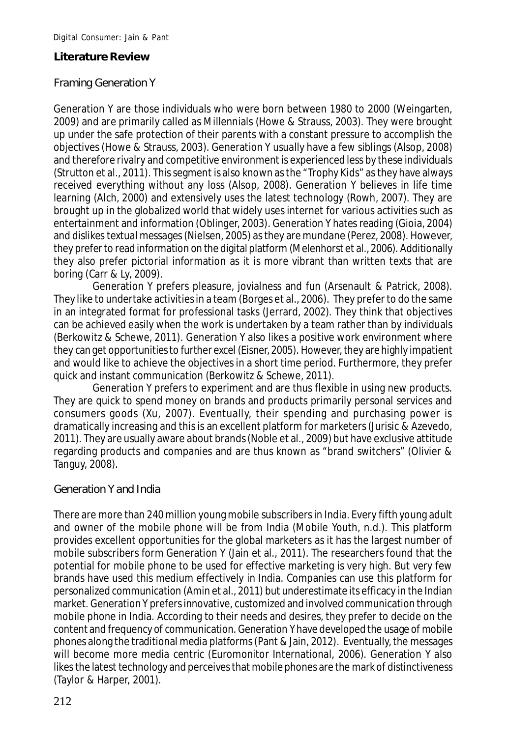# **Literature Review**

# Framing Generation Y

Generation Y are those individuals who were born between 1980 to 2000 (Weingarten, 2009) and are primarily called as Millennials (Howe & Strauss, 2003). They were brought up under the safe protection of their parents with a constant pressure to accomplish the objectives (Howe & Strauss, 2003). Generation Y usually have a few siblings (Alsop, 2008) and therefore rivalry and competitive environment is experienced less by these individuals (Strutton et al., 2011). This segment is also known as the "Trophy Kids" as they have always received everything without any loss (Alsop, 2008). Generation Y believes in life time learning (Alch, 2000) and extensively uses the latest technology (Rowh, 2007). They are brought up in the globalized world that widely uses internet for various activities such as entertainment and information (Oblinger, 2003). Generation Y hates reading (Gioia, 2004) and dislikes textual messages (Nielsen, 2005) as they are mundane (Perez, 2008). However, they prefer to read information on the digital platform (Melenhorst et al., 2006). Additionally they also prefer pictorial information as it is more vibrant than written texts that are boring (Carr & Ly, 2009).

Generation Y prefers pleasure, jovialness and fun (Arsenault & Patrick, 2008). They like to undertake activities in a team (Borges et al., 2006). They prefer to do the same in an integrated format for professional tasks (Jerrard, 2002). They think that objectives can be achieved easily when the work is undertaken by a team rather than by individuals (Berkowitz & Schewe, 2011). Generation Y also likes a positive work environment where they can get opportunities to further excel (Eisner, 2005). However, they are highly impatient and would like to achieve the objectives in a short time period. Furthermore, they prefer quick and instant communication (Berkowitz & Schewe, 2011).

Generation Y prefers to experiment and are thus flexible in using new products. They are quick to spend money on brands and products primarily personal services and consumers goods (Xu, 2007). Eventually, their spending and purchasing power is dramatically increasing and this is an excellent platform for marketers (Jurisic & Azevedo, 2011). They are usually aware about brands (Noble et al., 2009) but have exclusive attitude regarding products and companies and are thus known as "brand switchers" (Olivier & Tanguy, 2008).

# Generation Y and India

There are more than 240 million young mobile subscribers in India. Every fifth young adult and owner of the mobile phone will be from India (Mobile Youth, n.d.). This platform provides excellent opportunities for the global marketers as it has the largest number of mobile subscribers form Generation Y (Jain et al., 2011). The researchers found that the potential for mobile phone to be used for effective marketing is very high. But very few brands have used this medium effectively in India. Companies can use this platform for personalized communication (Amin et al., 2011) but underestimate its efficacy in the Indian market. Generation Y prefers innovative, customized and involved communication through mobile phone in India. According to their needs and desires, they prefer to decide on the content and frequency of communication. Generation Y have developed the usage of mobile phones along the traditional media platforms (Pant & Jain, 2012). Eventually, the messages will become more media centric (Euromonitor International, 2006). Generation Y also likes the latest technology and perceives that mobile phones are the mark of distinctiveness (Taylor & Harper, 2001).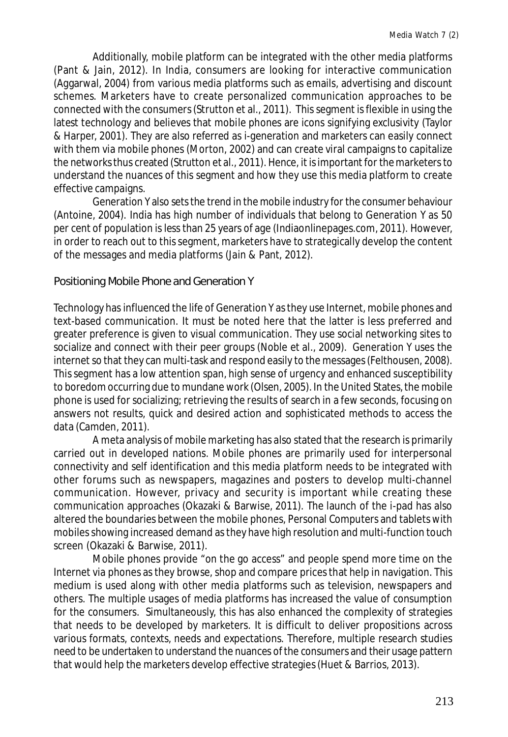Additionally, mobile platform can be integrated with the other media platforms (Pant & Jain, 2012). In India, consumers are looking for interactive communication (Aggarwal, 2004) from various media platforms such as emails, advertising and discount schemes. Marketers have to create personalized communication approaches to be connected with the consumers (Strutton et al., 2011). This segment is flexible in using the latest technology and believes that mobile phones are icons signifying exclusivity (Taylor & Harper, 2001). They are also referred as i-generation and marketers can easily connect with them via mobile phones (Morton, 2002) and can create viral campaigns to capitalize the networks thus created (Strutton et al., 2011). Hence, it is important for the marketers to understand the nuances of this segment and how they use this media platform to create effective campaigns.

Generation Y also sets the trend in the mobile industry for the consumer behaviour (Antoine, 2004). India has high number of individuals that belong to Generation Y as 50 per cent of population is less than 25 years of age (Indiaonlinepages.com, 2011). However, in order to reach out to this segment, marketers have to strategically develop the content of the messages and media platforms (Jain & Pant, 2012).

Positioning Mobile Phone and Generation Y

Technology has influenced the life of Generation Y as they use Internet, mobile phones and text-based communication. It must be noted here that the latter is less preferred and greater preference is given to visual communication. They use social networking sites to socialize and connect with their peer groups (Noble et al., 2009). Generation Y uses the internet so that they can multi-task and respond easily to the messages (Felthousen, 2008). This segment has a low attention span, high sense of urgency and enhanced susceptibility to boredom occurring due to mundane work (Olsen, 2005). In the United States, the mobile phone is used for socializing; retrieving the results of search in a few seconds, focusing on answers not results, quick and desired action and sophisticated methods to access the data (Camden, 2011).

A meta analysis of mobile marketing has also stated that the research is primarily carried out in developed nations. Mobile phones are primarily used for interpersonal connectivity and self identification and this media platform needs to be integrated with other forums such as newspapers, magazines and posters to develop multi-channel communication. However, privacy and security is important while creating these communication approaches (Okazaki & Barwise, 2011). The launch of the i-pad has also altered the boundaries between the mobile phones, Personal Computers and tablets with mobiles showing increased demand as they have high resolution and multi-function touch screen (Okazaki & Barwise, 2011).

Mobile phones provide "on the go access" and people spend more time on the Internet via phones as they browse, shop and compare prices that help in navigation. This medium is used along with other media platforms such as television, newspapers and others. The multiple usages of media platforms has increased the value of consumption for the consumers. Simultaneously, this has also enhanced the complexity of strategies that needs to be developed by marketers. It is difficult to deliver propositions across various formats, contexts, needs and expectations. Therefore, multiple research studies need to be undertaken to understand the nuances of the consumers and their usage pattern that would help the marketers develop effective strategies (Huet & Barrios, 2013).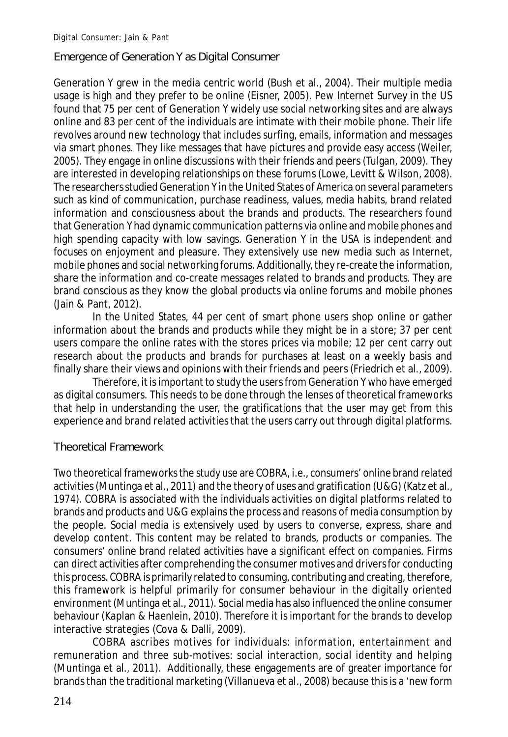Emergence of Generation Y as Digital Consumer

Generation Y grew in the media centric world (Bush et al., 2004). Their multiple media usage is high and they prefer to be online (Eisner, 2005). Pew Internet Survey in the US found that 75 per cent of Generation Y widely use social networking sites and are always online and 83 per cent of the individuals are intimate with their mobile phone. Their life revolves around new technology that includes surfing, emails, information and messages via smart phones. They like messages that have pictures and provide easy access (Weiler, 2005). They engage in online discussions with their friends and peers (Tulgan, 2009). They are interested in developing relationships on these forums (Lowe, Levitt & Wilson, 2008). The researchers studied Generation Y in the United States of America on several parameters such as kind of communication, purchase readiness, values, media habits, brand related information and consciousness about the brands and products. The researchers found that Generation Y had dynamic communication patterns via online and mobile phones and high spending capacity with low savings. Generation Y in the USA is independent and focuses on enjoyment and pleasure. They extensively use new media such as Internet, mobile phones and social networking forums. Additionally, they re-create the information, share the information and co-create messages related to brands and products. They are brand conscious as they know the global products via online forums and mobile phones (Jain & Pant, 2012).

In the United States, 44 per cent of smart phone users shop online or gather information about the brands and products while they might be in a store; 37 per cent users compare the online rates with the stores prices via mobile; 12 per cent carry out research about the products and brands for purchases at least on a weekly basis and finally share their views and opinions with their friends and peers (Friedrich et al., 2009).

Therefore, it is important to study the users from Generation Y who have emerged as digital consumers. This needs to be done through the lenses of theoretical frameworks that help in understanding the user, the gratifications that the user may get from this experience and brand related activities that the users carry out through digital platforms.

Theoretical Framework

Two theoretical frameworks the study use are COBRA, i.e., consumers' online brand related activities (Muntinga et al., 2011) and the theory of uses and gratification (U&G) (Katz et al., 1974). COBRA is associated with the individuals activities on digital platforms related to brands and products and U&G explains the process and reasons of media consumption by the people. Social media is extensively used by users to converse, express, share and develop content. This content may be related to brands, products or companies. The consumers' online brand related activities have a significant effect on companies. Firms can direct activities after comprehending the consumer motives and drivers for conducting this process. COBRA is primarily related to consuming, contributing and creating, therefore, this framework is helpful primarily for consumer behaviour in the digitally oriented environment (Muntinga et al., 2011). Social media has also influenced the online consumer behaviour (Kaplan & Haenlein, 2010). Therefore it is important for the brands to develop interactive strategies (Cova & Dalli, 2009).

COBRA ascribes motives for individuals: information, entertainment and remuneration and three sub-motives: social interaction, social identity and helping (Muntinga et al., 2011). Additionally, these engagements are of greater importance for brands than the traditional marketing (Villanueva et al., 2008) because this is a 'new form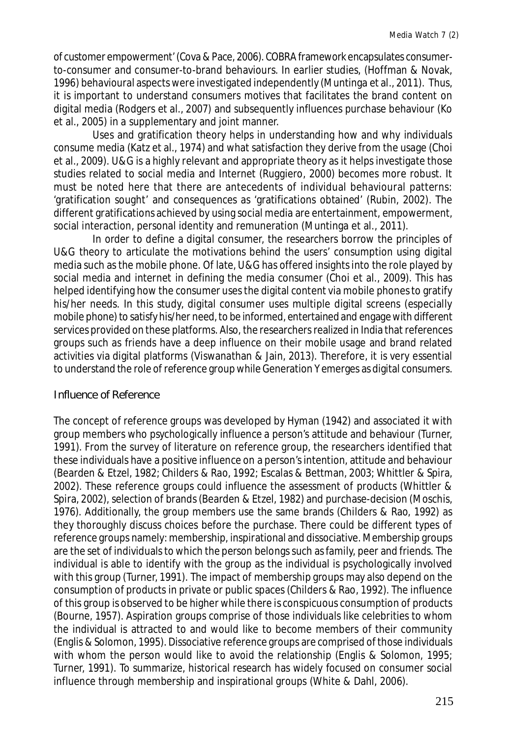of customer empowerment' (Cova & Pace, 2006). COBRA framework encapsulates consumerto-consumer and consumer-to-brand behaviours. In earlier studies, (Hoffman & Novak, 1996) behavioural aspects were investigated independently (Muntinga et al., 2011). Thus, it is important to understand consumers motives that facilitates the brand content on digital media (Rodgers et al., 2007) and subsequently influences purchase behaviour (Ko et al., 2005) in a supplementary and joint manner.

Uses and gratification theory helps in understanding how and why individuals consume media (Katz et al., 1974) and what satisfaction they derive from the usage (Choi et al., 2009). U&G is a highly relevant and appropriate theory as it helps investigate those studies related to social media and Internet (Ruggiero, 2000) becomes more robust. It must be noted here that there are antecedents of individual behavioural patterns: 'gratification sought' and consequences as 'gratifications obtained' (Rubin, 2002). The different gratifications achieved by using social media are entertainment, empowerment, social interaction, personal identity and remuneration (Muntinga et al., 2011).

In order to define a digital consumer, the researchers borrow the principles of U&G theory to articulate the motivations behind the users' consumption using digital media such as the mobile phone. Of late, U&G has offered insights into the role played by social media and internet in defining the media consumer (Choi et al., 2009). This has helped identifying how the consumer uses the digital content via mobile phones to gratify his/her needs. In this study, digital consumer uses multiple digital screens (especially mobile phone) to satisfy his/her need, to be informed, entertained and engage with different services provided on these platforms. Also, the researchers realized in India that references groups such as friends have a deep influence on their mobile usage and brand related activities via digital platforms (Viswanathan & Jain, 2013). Therefore, it is very essential to understand the role of reference group while Generation Y emerges as digital consumers.

#### Influence of Reference

The concept of reference groups was developed by Hyman (1942) and associated it with group members who psychologically influence a person's attitude and behaviour (Turner, 1991). From the survey of literature on reference group, the researchers identified that these individuals have a positive influence on a person's intention, attitude and behaviour (Bearden & Etzel, 1982; Childers & Rao, 1992; Escalas & Bettman, 2003; Whittler & Spira, 2002). These reference groups could influence the assessment of products (Whittler & Spira, 2002), selection of brands (Bearden & Etzel, 1982) and purchase-decision (Moschis, 1976). Additionally, the group members use the same brands (Childers & Rao, 1992) as they thoroughly discuss choices before the purchase. There could be different types of reference groups namely: membership, inspirational and dissociative. Membership groups are the set of individuals to which the person belongs such as family, peer and friends. The individual is able to identify with the group as the individual is psychologically involved with this group (Turner, 1991). The impact of membership groups may also depend on the consumption of products in private or public spaces (Childers & Rao, 1992). The influence of this group is observed to be higher while there is conspicuous consumption of products (Bourne, 1957). Aspiration groups comprise of those individuals like celebrities to whom the individual is attracted to and would like to become members of their community (Englis & Solomon, 1995). Dissociative reference groups are comprised of those individuals with whom the person would like to avoid the relationship (Englis & Solomon, 1995; Turner, 1991). To summarize, historical research has widely focused on consumer social influence through membership and inspirational groups (White & Dahl, 2006).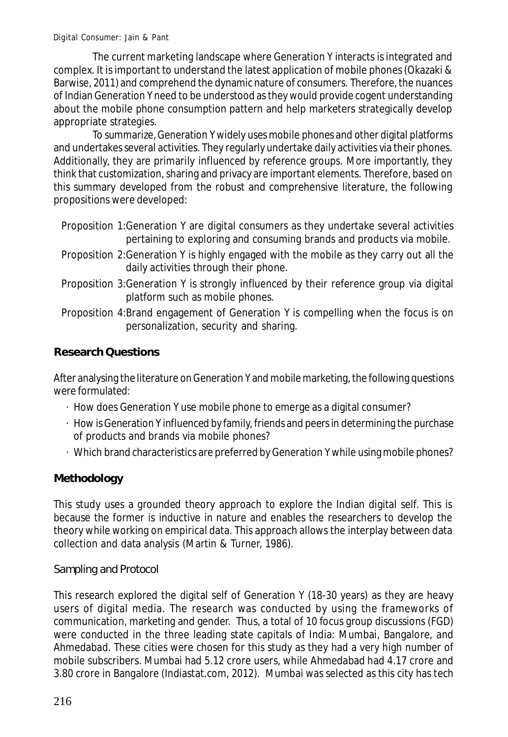The current marketing landscape where Generation Y interacts is integrated and complex. It is important to understand the latest application of mobile phones (Okazaki & Barwise, 2011) and comprehend the dynamic nature of consumers. Therefore, the nuances of Indian Generation Y need to be understood as they would provide cogent understanding about the mobile phone consumption pattern and help marketers strategically develop appropriate strategies.

To summarize, Generation Y widely uses mobile phones and other digital platforms and undertakes several activities. They regularly undertake daily activities via their phones. Additionally, they are primarily influenced by reference groups. More importantly, they think that customization, sharing and privacy are important elements. Therefore, based on this summary developed from the robust and comprehensive literature, the following propositions were developed:

- Proposition 1:Generation Y are digital consumers as they undertake several activities pertaining to exploring and consuming brands and products via mobile.
- Proposition 2:Generation Y is highly engaged with the mobile as they carry out all the daily activities through their phone.
- Proposition 3:Generation Y is strongly influenced by their reference group via digital platform such as mobile phones.
- Proposition 4:Brand engagement of Generation Y is compelling when the focus is on personalization, security and sharing.

# **Research Questions**

After analysing the literature on Generation Y and mobile marketing, the following questions were formulated:

- · How does Generation Y use mobile phone to emerge as a digital consumer?
- · How is Generation Y influenced by family, friends and peers in determining the purchase of products and brands via mobile phones?
- · Which brand characteristics are preferred by Generation Y while using mobile phones?

# **Methodology**

This study uses a grounded theory approach to explore the Indian digital self. This is because the former is inductive in nature and enables the researchers to develop the theory while working on empirical data. This approach allows the interplay between data collection and data analysis (Martin & Turner, 1986).

Sampling and Protocol

This research explored the digital self of Generation Y (18-30 years) as they are heavy users of digital media. The research was conducted by using the frameworks of communication, marketing and gender. Thus, a total of 10 focus group discussions (FGD) were conducted in the three leading state capitals of India: Mumbai, Bangalore, and Ahmedabad. These cities were chosen for this study as they had a very high number of mobile subscribers. Mumbai had 5.12 crore users, while Ahmedabad had 4.17 crore and 3.80 crore in Bangalore (Indiastat.com, 2012). Mumbai was selected as this city has tech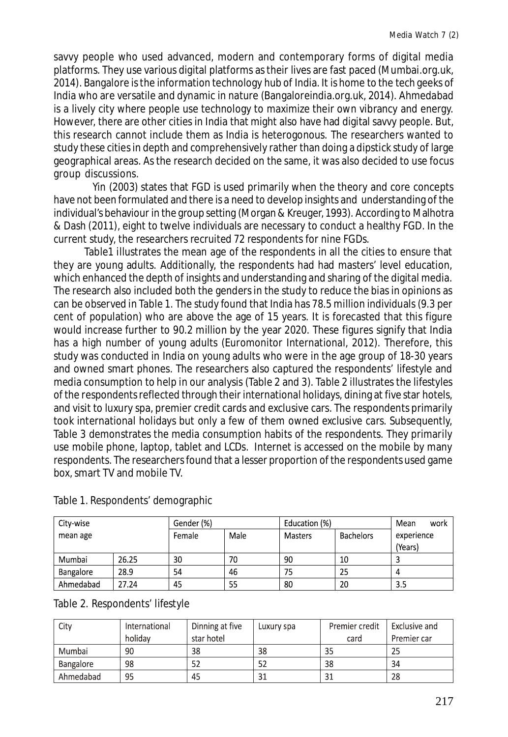savvy people who used advanced, modern and contemporary forms of digital media platforms. They use various digital platforms as their lives are fast paced (Mumbai.org.uk, 2014). Bangalore is the information technology hub of India. It is home to the tech geeks of India who are versatile and dynamic in nature (Bangaloreindia.org.uk, 2014). Ahmedabad is a lively city where people use technology to maximize their own vibrancy and energy. However, there are other cities in India that might also have had digital savvy people. But, this research cannot include them as India is heterogonous. The researchers wanted to study these cities in depth and comprehensively rather than doing a dipstick study of large geographical areas. As the research decided on the same, it was also decided to use focus group discussions.

Yin (2003) states that FGD is used primarily when the theory and core concepts have not been formulated and there is a need to develop insights and understanding of the individual's behaviour in the group setting (Morgan & Kreuger, 1993). According to Malhotra & Dash (2011), eight to twelve individuals are necessary to conduct a healthy FGD. In the current study, the researchers recruited 72 respondents for nine FGDs.

Table1 illustrates the mean age of the respondents in all the cities to ensure that they are young adults. Additionally, the respondents had had masters' level education, which enhanced the depth of insights and understanding and sharing of the digital media. The research also included both the genders in the study to reduce the bias in opinions as can be observed in Table 1. The study found that India has 78.5 million individuals (9.3 per cent of population) who are above the age of 15 years. It is forecasted that this figure would increase further to 90.2 million by the year 2020. These figures signify that India has a high number of young adults (Euromonitor International, 2012). Therefore, this study was conducted in India on young adults who were in the age group of 18-30 years and owned smart phones. The researchers also captured the respondents' lifestyle and media consumption to help in our analysis (Table 2 and 3). Table 2 illustrates the lifestyles of the respondents reflected through their international holidays, dining at five star hotels, and visit to luxury spa, premier credit cards and exclusive cars. The respondents primarily took international holidays but only a few of them owned exclusive cars. Subsequently, Table 3 demonstrates the media consumption habits of the respondents. They primarily use mobile phone, laptop, tablet and LCDs. Internet is accessed on the mobile by many respondents. The researchers found that a lesser proportion of the respondents used game box, smart TV and mobile TV.

| City-wise |       | Gender (%) |      | Education (%) |                  | Mean<br>work          |
|-----------|-------|------------|------|---------------|------------------|-----------------------|
| mean age  |       | Female     | Male | Masters       | <b>Bachelors</b> | experience<br>(Years) |
| Mumbai    | 26.25 | 30         | 70   | 90            | 10               |                       |
| Bangalore | 28.9  | 54         | 46   | 75            | 25               | 4                     |
| Ahmedabad | 27.24 | 45         | 55   | 80            | 20               | 3.5                   |

Table 1. Respondents' demographic

|  | Table 2. Respondents' lifestyle |  |
|--|---------------------------------|--|
|--|---------------------------------|--|

| City      | International | Dinning at five | Luxury spa | Premier credit | Exclusive and |
|-----------|---------------|-----------------|------------|----------------|---------------|
|           | holidav       | star hotel      |            | card           | Premier car   |
| Mumbai    | 90            | 38              | 38         | 35             | 25            |
| Bangalore | 98            | 52              |            | 38             | 34            |
| Ahmedabad | 95            | 45              | 31         | 31             | 28            |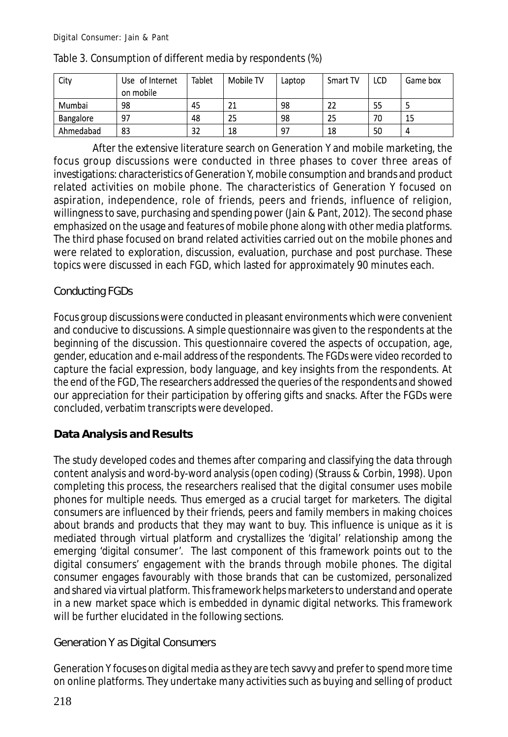| City      | Use of Internet | Tablet | Mobile TV | Laptop | Smart TV | LCD | Game box |
|-----------|-----------------|--------|-----------|--------|----------|-----|----------|
|           | on mobile       |        |           |        |          |     |          |
| Mumbai    | 98              | 45     | n,        | 98     | 22       | 55  |          |
| Bangalore | -97             | 48     | 25        | 98     | 25       | 70  | 15       |
| Ahmedabad | 83              | 32     | 18        | 97     | 18       | 50  | 4        |

#### Table 3. Consumption of different media by respondents (%)

After the extensive literature search on Generation Y and mobile marketing, the focus group discussions were conducted in three phases to cover three areas of investigations: characteristics of Generation Y, mobile consumption and brands and product related activities on mobile phone. The characteristics of Generation Y focused on aspiration, independence, role of friends, peers and friends, influence of religion, willingness to save, purchasing and spending power (Jain & Pant, 2012). The second phase emphasized on the usage and features of mobile phone along with other media platforms. The third phase focused on brand related activities carried out on the mobile phones and were related to exploration, discussion, evaluation, purchase and post purchase. These topics were discussed in each FGD, which lasted for approximately 90 minutes each.

# Conducting FGDs

Focus group discussions were conducted in pleasant environments which were convenient and conducive to discussions. A simple questionnaire was given to the respondents at the beginning of the discussion. This questionnaire covered the aspects of occupation, age, gender, education and e-mail address of the respondents. The FGDs were video recorded to capture the facial expression, body language, and key insights from the respondents. At the end of the FGD, The researchers addressed the queries of the respondents and showed our appreciation for their participation by offering gifts and snacks. After the FGDs were concluded, verbatim transcripts were developed.

# **Data Analysis and Results**

The study developed codes and themes after comparing and classifying the data through content analysis and word-by-word analysis (open coding) (Strauss & Corbin, 1998). Upon completing this process, the researchers realised that the digital consumer uses mobile phones for multiple needs. Thus emerged as a crucial target for marketers. The digital consumers are influenced by their friends, peers and family members in making choices about brands and products that they may want to buy. This influence is unique as it is mediated through virtual platform and crystallizes the 'digital' relationship among the emerging 'digital consumer'. The last component of this framework points out to the digital consumers' engagement with the brands through mobile phones. The digital consumer engages favourably with those brands that can be customized, personalized and shared via virtual platform. This framework helps marketers to understand and operate in a new market space which is embedded in dynamic digital networks. This framework will be further elucidated in the following sections.

Generation Y as Digital Consumers

Generation Y focuses on digital media as they are tech savvy and prefer to spend more time on online platforms. They undertake many activities such as buying and selling of product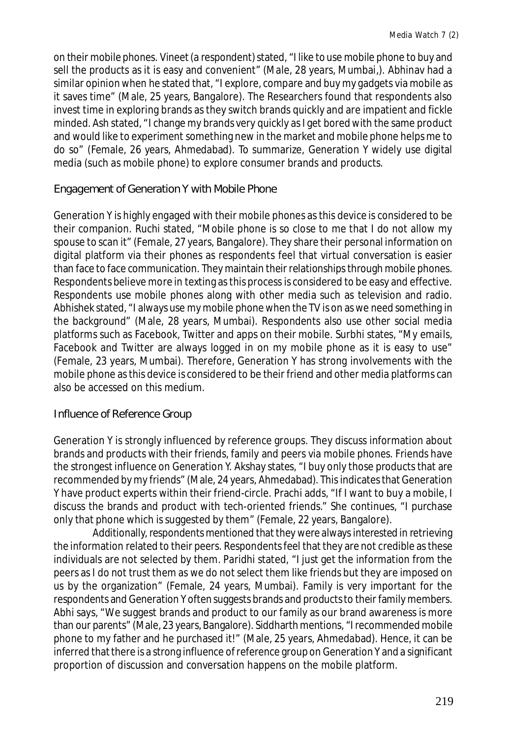on their mobile phones. Vineet (a respondent) stated, "I like to use mobile phone to buy and sell the products as it is easy and convenient" (Male, 28 years, Mumbai,). Abhinav had a similar opinion when he stated that, "I explore, compare and buy my gadgets via mobile as it saves time" (Male, 25 years, Bangalore). The Researchers found that respondents also invest time in exploring brands as they switch brands quickly and are impatient and fickle minded. Ash stated, "I change my brands very quickly as I get bored with the same product and would like to experiment something new in the market and mobile phone helps me to do so" (Female, 26 years, Ahmedabad). To summarize, Generation Y widely use digital media (such as mobile phone) to explore consumer brands and products.

# Engagement of Generation Y with Mobile Phone

Generation Y is highly engaged with their mobile phones as this device is considered to be their companion. Ruchi stated, "Mobile phone is so close to me that I do not allow my spouse to scan it" (Female, 27 years, Bangalore). They share their personal information on digital platform via their phones as respondents feel that virtual conversation is easier than face to face communication. They maintain their relationships through mobile phones. Respondents believe more in texting as this process is considered to be easy and effective. Respondents use mobile phones along with other media such as television and radio. Abhishek stated, "I always use my mobile phone when the TV is on as we need something in the background" (Male, 28 years, Mumbai). Respondents also use other social media platforms such as Facebook, Twitter and apps on their mobile. Surbhi states, "My emails, Facebook and Twitter are always logged in on my mobile phone as it is easy to use" (Female, 23 years, Mumbai). Therefore, Generation Y has strong involvements with the mobile phone as this device is considered to be their friend and other media platforms can also be accessed on this medium.

# Influence of Reference Group

Generation Y is strongly influenced by reference groups. They discuss information about brands and products with their friends, family and peers via mobile phones. Friends have the strongest influence on Generation Y. Akshay states, "I buy only those products that are recommended by my friends" (Male, 24 years, Ahmedabad). This indicates that Generation Y have product experts within their friend-circle. Prachi adds, "If I want to buy a mobile, I discuss the brands and product with tech-oriented friends." She continues, "I purchase only that phone which is suggested by them" (Female, 22 years, Bangalore).

Additionally, respondents mentioned that they were always interested in retrieving the information related to their peers. Respondents feel that they are not credible as these individuals are not selected by them. Paridhi stated, "I just get the information from the peers as I do not trust them as we do not select them like friends but they are imposed on us by the organization" (Female, 24 years, Mumbai). Family is very important for the respondents and Generation Y often suggests brands and products to their family members. Abhi says, "We suggest brands and product to our family as our brand awareness is more than our parents" (Male, 23 years, Bangalore). Siddharth mentions, "I recommended mobile phone to my father and he purchased it!" (Male, 25 years, Ahmedabad). Hence, it can be inferred that there is a strong influence of reference group on Generation Y and a significant proportion of discussion and conversation happens on the mobile platform.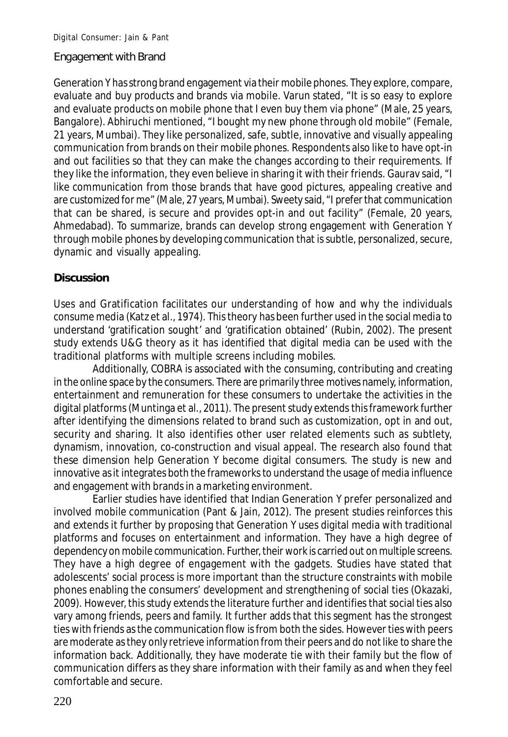#### Engagement with Brand

Generation Y has strong brand engagement via their mobile phones. They explore, compare, evaluate and buy products and brands via mobile. Varun stated, "It is so easy to explore and evaluate products on mobile phone that I even buy them via phone" (Male, 25 years, Bangalore). Abhiruchi mentioned, "I bought my new phone through old mobile" (Female, 21 years, Mumbai). They like personalized, safe, subtle, innovative and visually appealing communication from brands on their mobile phones. Respondents also like to have opt-in and out facilities so that they can make the changes according to their requirements. If they like the information, they even believe in sharing it with their friends. Gaurav said, "I like communication from those brands that have good pictures, appealing creative and are customized for me" (Male, 27 years, Mumbai). Sweety said, "I prefer that communication that can be shared, is secure and provides opt-in and out facility" (Female, 20 years, Ahmedabad). To summarize, brands can develop strong engagement with Generation Y through mobile phones by developing communication that is subtle, personalized, secure, dynamic and visually appealing.

# **Discussion**

Uses and Gratification facilitates our understanding of how and why the individuals consume media (Katz et al., 1974). This theory has been further used in the social media to understand 'gratification sought' and 'gratification obtained' (Rubin, 2002). The present study extends U&G theory as it has identified that digital media can be used with the traditional platforms with multiple screens including mobiles.

Additionally, COBRA is associated with the consuming, contributing and creating in the online space by the consumers. There are primarily three motives namely, information, entertainment and remuneration for these consumers to undertake the activities in the digital platforms (Muntinga et al., 2011). The present study extends this framework further after identifying the dimensions related to brand such as customization, opt in and out, security and sharing. It also identifies other user related elements such as subtlety, dynamism, innovation, co-construction and visual appeal. The research also found that these dimension help Generation Y become digital consumers. The study is new and innovative as it integrates both the frameworks to understand the usage of media influence and engagement with brands in a marketing environment.

Earlier studies have identified that Indian Generation Y prefer personalized and involved mobile communication (Pant & Jain, 2012). The present studies reinforces this and extends it further by proposing that Generation Y uses digital media with traditional platforms and focuses on entertainment and information. They have a high degree of dependency on mobile communication. Further, their work is carried out on multiple screens. They have a high degree of engagement with the gadgets. Studies have stated that adolescents' social process is more important than the structure constraints with mobile phones enabling the consumers' development and strengthening of social ties (Okazaki, 2009). However, this study extends the literature further and identifies that social ties also vary among friends, peers and family. It further adds that this segment has the strongest ties with friends as the communication flow is from both the sides. However ties with peers are moderate as they only retrieve information from their peers and do not like to share the information back. Additionally, they have moderate tie with their family but the flow of communication differs as they share information with their family as and when they feel comfortable and secure.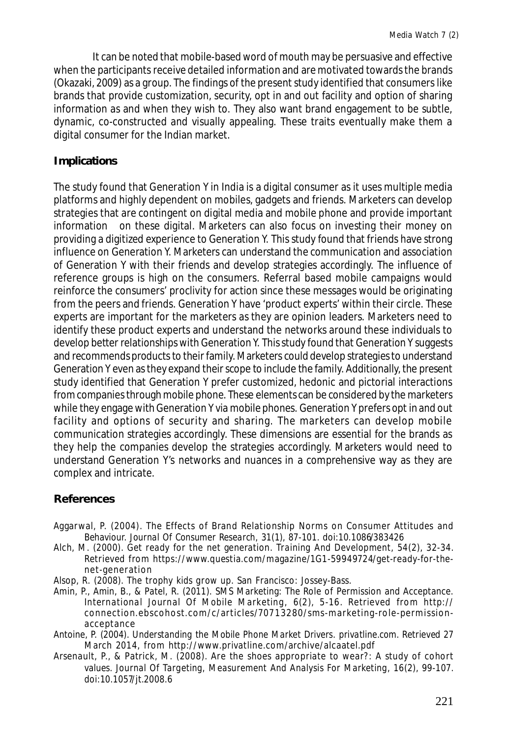It can be noted that mobile-based word of mouth may be persuasive and effective when the participants receive detailed information and are motivated towards the brands (Okazaki, 2009) as a group. The findings of the present study identified that consumers like brands that provide customization, security, opt in and out facility and option of sharing information as and when they wish to. They also want brand engagement to be subtle, dynamic, co-constructed and visually appealing. These traits eventually make them a digital consumer for the Indian market.

# **Implications**

The study found that Generation Y in India is a digital consumer as it uses multiple media platforms and highly dependent on mobiles, gadgets and friends. Marketers can develop strategies that are contingent on digital media and mobile phone and provide important information on these digital. Marketers can also focus on investing their money on providing a digitized experience to Generation Y. This study found that friends have strong influence on Generation Y. Marketers can understand the communication and association of Generation Y with their friends and develop strategies accordingly. The influence of reference groups is high on the consumers. Referral based mobile campaigns would reinforce the consumers' proclivity for action since these messages would be originating from the peers and friends. Generation Y have 'product experts' within their circle. These experts are important for the marketers as they are opinion leaders. Marketers need to identify these product experts and understand the networks around these individuals to develop better relationships with Generation Y. This study found that Generation Y suggests and recommends products to their family. Marketers could develop strategies to understand Generation Y even as they expand their scope to include the family. Additionally, the present study identified that Generation Y prefer customized, hedonic and pictorial interactions from companies through mobile phone. These elements can be considered by the marketers while they engage with Generation Y via mobile phones. Generation Y prefers opt in and out facility and options of security and sharing. The marketers can develop mobile communication strategies accordingly. These dimensions are essential for the brands as they help the companies develop the strategies accordingly. Marketers would need to understand Generation Y's networks and nuances in a comprehensive way as they are complex and intricate.

# **References**

- Aggarwal, P. (2004). The Effects of Brand Relationship Norms on Consumer Attitudes and Behaviour. *Journal Of Consumer Research*, *31*(1), 87-101. doi:10.1086/383426
- Alch, M. (2000). Get ready for the net generation. *Training And Development*, *54*(2), 32-34. Retrieved from https://www.questia.com/magazine/1G1-59949724/get-ready-for-thenet-generation
- Alsop, R. (2008). *The trophy kids grow up*. San Francisco: Jossey-Bass.
- Amin, P., Amin, B., & Patel, R. (2011). SMS Marketing: The Role of Permission and Acceptance. *International Journal Of Mobile Marketing*, *6*(2), 5-16. Retrieved from http:// connection.ebscohost.com/c/articles/707 13280/sms-marketing-role-permissionacceptance
- Antoine, P. (2004). *Understanding the Mobile Phone Market Drivers*. *privatline.com*. Retrieved 27 March 2014, from http://www.privatline.com/archive/alcaatel.pdf
- Arsenault, P., & Patrick, M. (2008). Are the shoes appropriate to wear?: A study of cohort values. *Journal Of Targeting, Measurement And Analysis For Marketing*, *16*(2), 99-107. doi:10.1057/jt.2008.6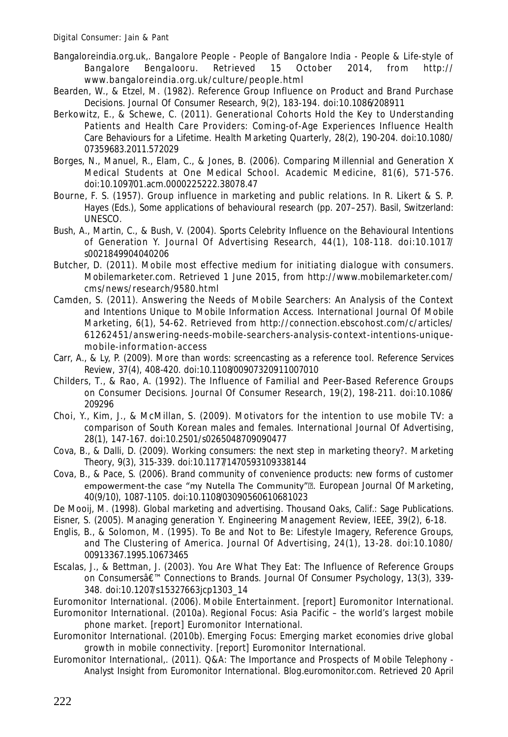- Bangaloreindia.org.uk,. *Bangalore People People of Bangalore India People & Life-style of Bangalore Bengalooru*. Retrieved 15 October 2014, from http:// www.bangaloreindia.org.uk/culture/people.html
- Bearden, W., & Etzel, M. (1982). Reference Group Influence on Product and Brand Purchase Decisions. *Journal Of Consumer Research*, *9*(2), 183-194. doi:10.1086/208911
- Berkowitz, E., & Schewe, C. (2011). Generational Cohorts Hold the Key to Understanding Patients and Health Care Providers: Coming-of-Age Experiences Influence Health Care Behaviours for a Lifetime. *Health Marketing Quarterly*, *28*(2), 190-204. doi:10.1080/ 07359683.2011.572029
- Borges, N., Manuel, R., Elam, C., & Jones, B. (2006). Comparing Millennial and Generation X Medical Students at One Medical School. *Academic Medicine*, *81*(6), 571-576. doi:10.1097/01.acm.0000225222.38078.47
- Bourne, F. S. (1957). Group influence in marketing and public relations. In R. Likert & S. P. Hayes (Eds.), *Some applications of behavioural research* (pp. 207–257). Basil, Switzerland: UNESCO.
- Bush, A., Martin, C., & Bush, V. (2004). Sports Celebrity Influence on the Behavioural Intentions of Generation Y. *Journal Of Advertising Research*, *44*(1), 108-118. doi:10.1017/ s0021849904040206
- Butcher, D. (2011). *Mobile most effective medium for initiating dialogue with consumers*. *Mobilemarketer.com*. Retrieved 1 June 2015, from http://www.mobilemarketer.com/ cms/news/research/9580.html
- Camden, S. (2011). Answering the Needs of Mobile Searchers: An Analysis of the Context and Intentions Unique to Mobile Information Access. *International Journal Of Mobile Marketing*, *6*(1), 54-62. Retrieved from http://connection.ebscohost.com/c/articles/ 61262451/answering-needs-mobile-searchers-analysis-context-intentions-uniquemobile-information-access
- Carr, A., & Ly, P. (2009). More than words: screencasting as a reference tool. *Reference Services Review*, *37*(4), 408-420. doi:10.1108/00907320911007010
- Childers, T., & Rao, A. (1992). The Influence of Familial and Peer-Based Reference Groups on Consumer Decisions. *Journal Of Consumer Research*, *19*(2), 198-211. doi:10.1086/ 209296
- Choi, Y., Kim, J., & McMillan, S. (2009). Motivators for the intention to use mobile TV: a comparison of South Korean males and females. *International Journal Of Advertising*, *28*(1), 147-167. doi:10.2501/s0265048709090477
- Cova, B., & Dalli, D. (2009). Working consumers: the next step in marketing theory?. *Marketing Theory*, *9*(3), 315-339. doi:10.1177/1470593109338144
- Cova, B., & Pace, S. (2006). Brand community of convenience products: new forms of customer empowerment-the case "my Nutella The Community"<sup>®</sup>. *European Journal Of Marketing*, *40*(9/10), 1087-1105. doi:10.1108/03090560610681023
- De Mooij, M. (1998). *Global marketing and advertising*. Thousand Oaks, Calif.: Sage Publications.
- Eisner, S. (2005). Managing generation Y. *Engineering Management Review, IEEE*, *39*(2), 6-18.
- Englis, B., & Solomon, M. (1995). To Be and Not to Be: Lifestyle Imagery, Reference Groups, and The Clustering of America. *Journal Of Advertising*, *24*(1), 13-28. doi:10.1080/ 00913367.1995.10673465
- Escalas, J., & Bettman, J. (2003). You Are What They Eat: The Influence of Reference Groups on Consumersâ€<sup>™</sup> Connections to Brands. *Journal Of Consumer Psychology*, 13(3), 339-348. doi:10.1207/s15327663jcp1303\_14
- Euromonitor International. (2006). *Mobile Entertainment*. [report] Euromonitor International.
- Euromonitor International. (2010a). *Regional Focus: Asia Pacific the world's largest mobile phone market*. [report] Euromonitor International.
- Euromonitor International. (2010b). *Emerging Focus: Emerging market economies drive global growth in mobile connectivity*. [report] Euromonitor International.
- Euromonitor International,. (2011). *Q&A: The Importance and Prospects of Mobile Telephony - Analyst Insight from Euromonitor International*. *Blog.euromonitor.com*. Retrieved 20 April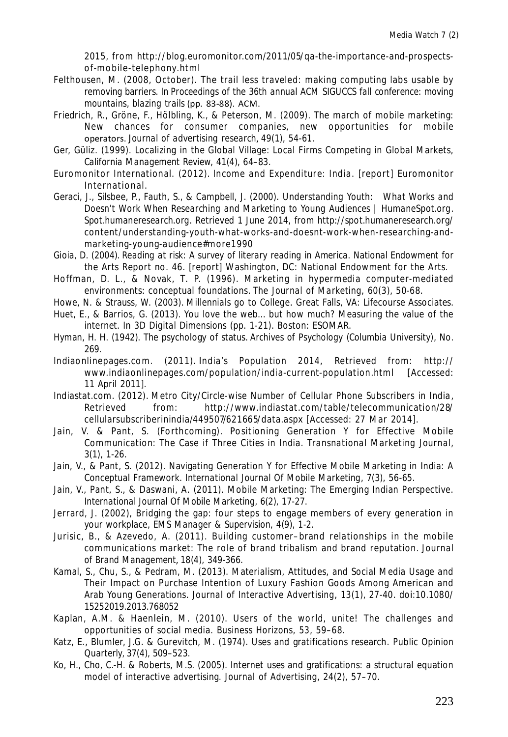2015, from http://blog.euromonitor.com/2011/05/qa-the-importance-and-prospectsof-mobile-telephony.html

- Felthousen, M. (2008, October). The trail less traveled: making computing labs usable by removing barriers. In *Proceedings of the 36th annual ACM SIGUCCS fall conference: moving mountains, blazing trails* (pp. 83-88). ACM.
- Friedrich, R., Gröne, F., Hölbling, K., & Peterson, M. (2009). The march of mobile marketing: New chances for consumer companies, new opportunities for mobile operators. *Journal of advertising research*, *49*(1), 54-61.
- Ger, Güliz. (1999). Localizing in the Global Village: Local Firms Competing in Global Markets, *California Management Review, 41*(4), 64–83.
- Euromonitor International. (2012). *Income and Expenditure: India*. [report] Euromonitor International.
- Geraci, J., Silsbee, P., Fauth, S., & Campbell, J. (2000). *Understanding Youth: What Works and Doesn't Work When Researching and Marketing to Young Audiences | HumaneSpot.org*. *Spot.humaneresearch.org*. Retrieved 1 June 2014, from http://spot.humaneresearch.org/ content/understanding-youth-what-works-and-doesnt-work-when-researching-andmarketing-young-audience#more1990
- Gioia, D. (2004). *Reading at risk: A survey of literary reading in America*. National Endowment for the Arts Report no. 46. [report] Washington, DC: National Endowment for the Arts.
- Hoffman, D. L., & Novak, T. P. (1996). Marketing in hypermedia computer-mediated environments: conceptual foundations. *The Journal of Marketing, 60*(3), 50-68.
- Howe, N. & Strauss, W. (2003). *Millennials go to College*. Great Falls, VA: Lifecourse Associates. Huet, E., & Barrios, G. (2013). You love the web... but how much? Measuring the value of the
- internet. In *3D Digital Dimensions* (pp. 1-21). Boston: ESOMAR.
- Hyman, H. H. (1942). The psychology of status. *Archives of Psychology (Columbia University)*, No. 269.
- Indiaonlinepages.com. (2011). *India's Population 2014,* Retrieved from: http:// www.indiaonlinepages.com/population/india-current-population.html [Accessed: 11 April 2011].
- Indiastat.com. (2012). *Metro City/Circle-wise Number of Cellular Phone Subscribers in India*, Retrieved from: http://www.indiastat.com/table/telecommunication/28/ cellularsubscriberinindia/449507/621665/data.aspx [Accessed: 27 Mar 2014].
- Jain, V. & Pant, S. (Forthcoming). Positioning Generation Y for Effective Mobile Communication: The Case if Three Cities in India. *Transnational Marketing Journal, 3*(1), 1-26.
- Jain, V., & Pant, S. (2012). Navigating Generation Y for Effective Mobile Marketing in India: A Conceptual Framework. *International Journal Of Mobile Marketing*, *7*(3), 56-65.
- Jain, V., Pant, S., & Daswani, A. (2011). Mobile Marketing: The Emerging Indian Perspective. *International Journal Of Mobile Marketing*, *6*(2), 17-27.
- Jerrard, J. (2002), Bridging the gap: four steps to engage members of every generation in your workplace, *EMS Manager & Supervision, 4*(9), 1-2.
- Jurisic, B., & Azevedo, A. (2011). Building customer–brand relationships in the mobile communications market: The role of brand tribalism and brand reputation. *Journal of Brand Management*, *18*(4), 349-366.
- Kamal, S., Chu, S., & Pedram, M. (2013). Materialism, Attitudes, and Social Media Usage and Their Impact on Purchase Intention of Luxury Fashion Goods Among American and Arab Young Generations. *Journal of Interactive Advertising*, *13*(1), 27-40. doi:10.1080/ 15252019.2013.768052
- Kaplan, A.M. & Haenlein, M. (2010). Users of the world, unite! The challenges and opportunities of social media. *Business Horizons*, *53*, 59–68.
- Katz, E., Blumler, J.G. & Gurevitch, M. (1974). Uses and gratifications research. *Public Opinion Quarterly, 37*(4), 509–523.
- Ko, H., Cho, C.-H. & Roberts, M.S. (2005). Internet uses and gratifications: a structural equation model of interactive advertising. *Journal of Advertising, 24*(2), 57–70.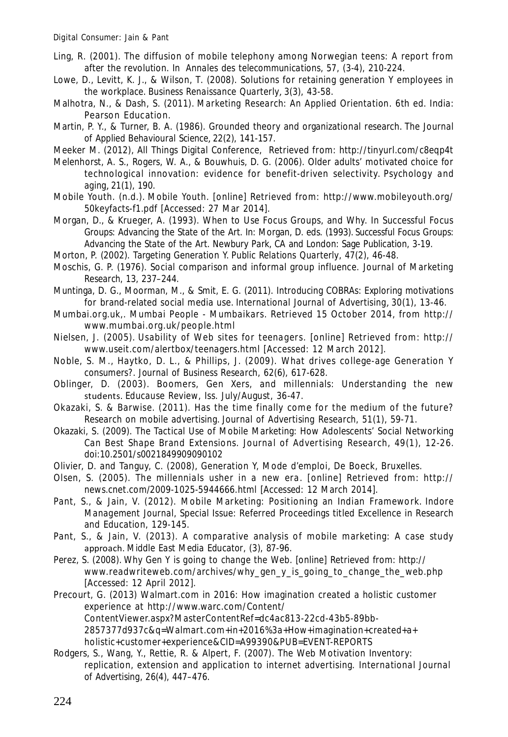- Ling, R. (2001). The diffusion of mobile telephony among Norwegian teens: A report from after the revolution. In *Annales des telecommunications, 57,* (3-4), 210-224.
- Lowe, D., Levitt, K. J., & Wilson, T. (2008). Solutions for retaining generation Y employees in the workplace. *Business Renaissance Quarterly*, *3*(3), 43-58.
- Malhotra, N., & Dash, S. (2011). *Marketing Research: An Applied Orientation*. 6th ed. India: Pearson Education.
- Martin, P. Y., & Turner, B. A. (1986). Grounded theory and organizational research. *The Journal of Applied Behavioural Science*, *22*(2), 141-157.

Meeker M. (2012), All Things Digital Conference, Retrieved from: http://tinyurl.com/c8eqp4t

- Melenhorst, A. S., Rogers, W. A., & Bouwhuis, D. G. (2006). Older adults' motivated choice for technological innovation: evidence for benefit-driven selectivity. *Psychology and aging*, *21*(1), 190.
- Mobile Youth. (n.d.). *Mobile Youth*. [online] Retrieved from: http://www.mobileyouth.org/ 50keyfacts-f1.pdf [Accessed: 27 Mar 2014].
- Morgan, D., & Krueger, A. (1993). When to Use Focus Groups, and Why. In Successful Focus Groups: Advancing the State of the Art. In: Morgan, D. eds. (1993). *Successful Focus Groups: Advancing the State of the Art*. Newbury Park, CA and London: Sage Publication, 3-19.
- Morton, P. (2002). Targeting Generation Y. *Public Relations Quarterly*, *47*(2), 46-48.
- Moschis, G. P. (1976). Social comparison and informal group influence. *Journal of Marketing Research, 13,* 237–244.
- Muntinga, D. G., Moorman, M., & Smit, E. G. (2011). Introducing COBRAs: Exploring motivations for brand-related social media use. *International Journal of Advertising*, *30*(1), 13-46.
- Mumbai.org.uk,. *Mumbai People Mumbaikars*. Retrieved 15 October 2014, from http:// www.mumbai.org.uk/people.html
- Nielsen, J. (2005). *Usability of Web sites for teenagers*. [online] Retrieved from: http:// www.useit.com/alertbox/teenagers.html [Accessed: 12 March 2012].
- Noble, S. M., Haytko, D. L., & Phillips, J. (2009). What drives college-age Generation Y consumers?. *Journal of Business Research*, *62*(6), 617-628.
- Oblinger, D. (2003). Boomers, Gen Xers, and millennials: Understanding the new students. *Educause Review*, Iss. July/August, 36-47.
- Okazaki, S. & Barwise. (2011). Has the time finally come for the medium of the future? Research on mobile advertising. *Journal of Advertising Research, 51*(1), 59-71.
- Okazaki, S. (2009). The Tactical Use of Mobile Marketing: How Adolescents' Social Networking Can Best Shape Brand Extensions. *Journal of Advertising Research*, *49*(1), 12-26. doi:10.2501/s0021849909090102
- Olivier, D. and Tanguy, C. (2008), Generation Y, Mode d'emploi, De Boeck, Bruxelles.
- Olsen, S. (2005). *The millennials usher in a new era.* [online] Retrieved from: http:// news.cnet.com/2009-1025-5944666.html [Accessed: 12 March 2014].
- Pant, S., & Jain, V. (2012). Mobile Marketing: Positioning an Indian Framework. *Indore Management Journal*, Special Issue: Referred Proceedings titled Excellence in Research and Education, 129-145.
- Pant, S., & Jain, V. (2013). A comparative analysis of mobile marketing: A case study approach. *Middle East Media Educator*, (3), 87-96.
- Perez, S. (2008). *Why Gen Y is going to change the Web*. [online] Retrieved from: http:// www.readwriteweb.com/archives/why\_gen\_y\_is\_going\_to\_change\_the\_web.php [Accessed: 12 April 2012].
- Precourt, G. (2013) Walmart.com in 2016: How imagination created a holistic customer experience at http://www.warc.com/Content/ ContentViewer.aspx?MasterContentRef=dc4ac813-22cd-43b5-89bb-2857377d937c&q=Walmart.com+in+2016%3a+How+imagination+created+a+ holistic+customer+experience&CID=A99390&PUB=EVENT-REPORTS
- Rodgers, S., Wang, Y., Rettie, R. & Alpert, F. (2007). The Web Motivation Inventory: replication, extension and application to internet advertising. *International Journal of Advertising, 26*(4), 447–476.